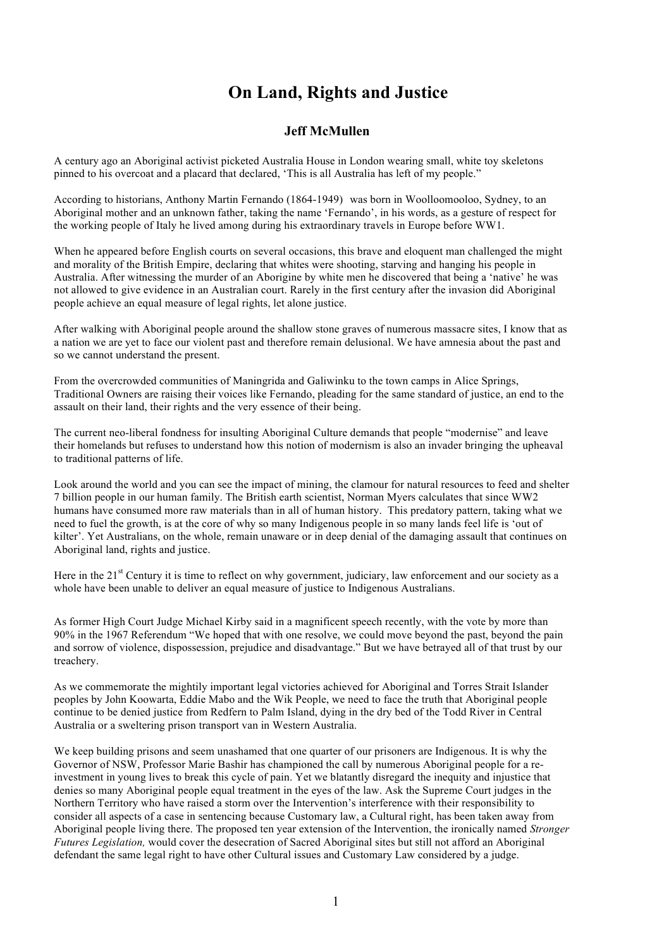## **On Land, Rights and Justice**

## **Jeff McMullen**

A century ago an Aboriginal activist picketed Australia House in London wearing small, white toy skeletons pinned to his overcoat and a placard that declared, 'This is all Australia has left of my people."

According to historians, Anthony Martin Fernando (1864-1949) was born in Woolloomooloo, Sydney, to an Aboriginal mother and an unknown father, taking the name 'Fernando', in his words, as a gesture of respect for the working people of Italy he lived among during his extraordinary travels in Europe before WW1.

When he appeared before English courts on several occasions, this brave and eloquent man challenged the might and morality of the British Empire, declaring that whites were shooting, starving and hanging his people in Australia. After witnessing the murder of an Aborigine by white men he discovered that being a 'native' he was not allowed to give evidence in an Australian court. Rarely in the first century after the invasion did Aboriginal people achieve an equal measure of legal rights, let alone justice.

After walking with Aboriginal people around the shallow stone graves of numerous massacre sites, I know that as a nation we are yet to face our violent past and therefore remain delusional. We have amnesia about the past and so we cannot understand the present.

From the overcrowded communities of Maningrida and Galiwinku to the town camps in Alice Springs, Traditional Owners are raising their voices like Fernando, pleading for the same standard of justice, an end to the assault on their land, their rights and the very essence of their being.

The current neo-liberal fondness for insulting Aboriginal Culture demands that people "modernise" and leave their homelands but refuses to understand how this notion of modernism is also an invader bringing the upheaval to traditional patterns of life.

Look around the world and you can see the impact of mining, the clamour for natural resources to feed and shelter 7 billion people in our human family. The British earth scientist, Norman Myers calculates that since WW2 humans have consumed more raw materials than in all of human history. This predatory pattern, taking what we need to fuel the growth, is at the core of why so many Indigenous people in so many lands feel life is 'out of kilter'. Yet Australians, on the whole, remain unaware or in deep denial of the damaging assault that continues on Aboriginal land, rights and justice.

Here in the  $21<sup>st</sup>$  Century it is time to reflect on why government, judiciary, law enforcement and our society as a whole have been unable to deliver an equal measure of justice to Indigenous Australians.

As former High Court Judge Michael Kirby said in a magnificent speech recently, with the vote by more than 90% in the 1967 Referendum "We hoped that with one resolve, we could move beyond the past, beyond the pain and sorrow of violence, dispossession, prejudice and disadvantage." But we have betrayed all of that trust by our treachery.

As we commemorate the mightily important legal victories achieved for Aboriginal and Torres Strait Islander peoples by John Koowarta, Eddie Mabo and the Wik People, we need to face the truth that Aboriginal people continue to be denied justice from Redfern to Palm Island, dying in the dry bed of the Todd River in Central Australia or a sweltering prison transport van in Western Australia.

We keep building prisons and seem unashamed that one quarter of our prisoners are Indigenous. It is why the Governor of NSW, Professor Marie Bashir has championed the call by numerous Aboriginal people for a reinvestment in young lives to break this cycle of pain. Yet we blatantly disregard the inequity and injustice that denies so many Aboriginal people equal treatment in the eyes of the law. Ask the Supreme Court judges in the Northern Territory who have raised a storm over the Intervention's interference with their responsibility to consider all aspects of a case in sentencing because Customary law, a Cultural right, has been taken away from Aboriginal people living there. The proposed ten year extension of the Intervention, the ironically named *Stronger Futures Legislation,* would cover the desecration of Sacred Aboriginal sites but still not afford an Aboriginal defendant the same legal right to have other Cultural issues and Customary Law considered by a judge.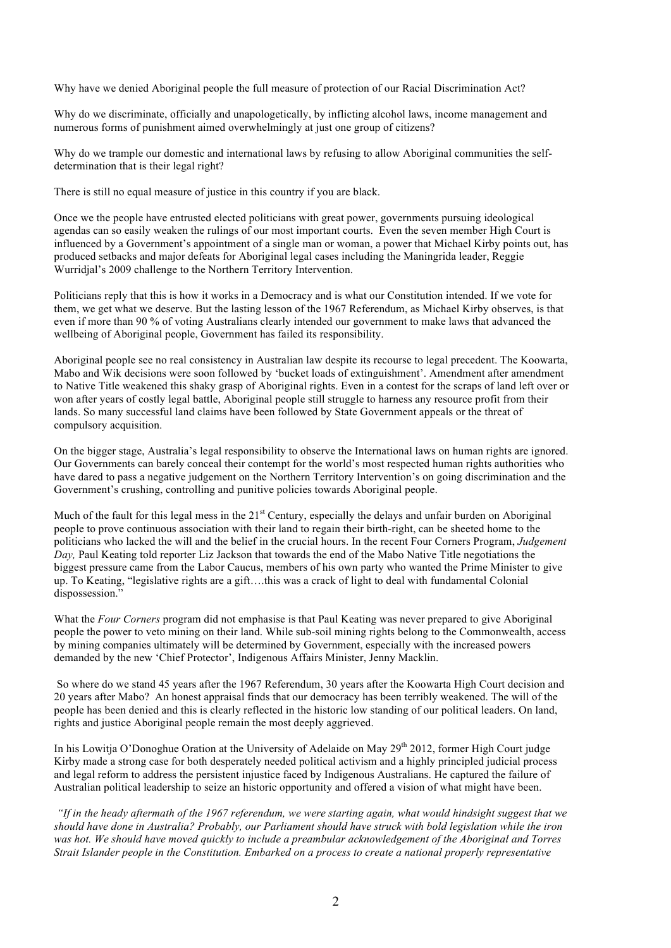Why have we denied Aboriginal people the full measure of protection of our Racial Discrimination Act?

Why do we discriminate, officially and unapologetically, by inflicting alcohol laws, income management and numerous forms of punishment aimed overwhelmingly at just one group of citizens?

Why do we trample our domestic and international laws by refusing to allow Aboriginal communities the selfdetermination that is their legal right?

There is still no equal measure of justice in this country if you are black.

Once we the people have entrusted elected politicians with great power, governments pursuing ideological agendas can so easily weaken the rulings of our most important courts. Even the seven member High Court is influenced by a Government's appointment of a single man or woman, a power that Michael Kirby points out, has produced setbacks and major defeats for Aboriginal legal cases including the Maningrida leader, Reggie Wurridjal's 2009 challenge to the Northern Territory Intervention.

Politicians reply that this is how it works in a Democracy and is what our Constitution intended. If we vote for them, we get what we deserve. But the lasting lesson of the 1967 Referendum, as Michael Kirby observes, is that even if more than 90 % of voting Australians clearly intended our government to make laws that advanced the wellbeing of Aboriginal people, Government has failed its responsibility.

Aboriginal people see no real consistency in Australian law despite its recourse to legal precedent. The Koowarta, Mabo and Wik decisions were soon followed by 'bucket loads of extinguishment'. Amendment after amendment to Native Title weakened this shaky grasp of Aboriginal rights. Even in a contest for the scraps of land left over or won after years of costly legal battle, Aboriginal people still struggle to harness any resource profit from their lands. So many successful land claims have been followed by State Government appeals or the threat of compulsory acquisition.

On the bigger stage, Australia's legal responsibility to observe the International laws on human rights are ignored. Our Governments can barely conceal their contempt for the world's most respected human rights authorities who have dared to pass a negative judgement on the Northern Territory Intervention's on going discrimination and the Government's crushing, controlling and punitive policies towards Aboriginal people.

Much of the fault for this legal mess in the  $21<sup>st</sup>$  Century, especially the delays and unfair burden on Aboriginal people to prove continuous association with their land to regain their birth-right, can be sheeted home to the politicians who lacked the will and the belief in the crucial hours. In the recent Four Corners Program, *Judgement Day,* Paul Keating told reporter Liz Jackson that towards the end of the Mabo Native Title negotiations the biggest pressure came from the Labor Caucus, members of his own party who wanted the Prime Minister to give up. To Keating, "legislative rights are a gift….this was a crack of light to deal with fundamental Colonial dispossession.'

What the *Four Corners* program did not emphasise is that Paul Keating was never prepared to give Aboriginal people the power to veto mining on their land. While sub-soil mining rights belong to the Commonwealth, access by mining companies ultimately will be determined by Government, especially with the increased powers demanded by the new 'Chief Protector', Indigenous Affairs Minister, Jenny Macklin.

So where do we stand 45 years after the 1967 Referendum, 30 years after the Koowarta High Court decision and 20 years after Mabo? An honest appraisal finds that our democracy has been terribly weakened. The will of the people has been denied and this is clearly reflected in the historic low standing of our political leaders. On land, rights and justice Aboriginal people remain the most deeply aggrieved.

In his Lowitia O'Donoghue Oration at the University of Adelaide on May 29<sup>th</sup> 2012, former High Court judge Kirby made a strong case for both desperately needed political activism and a highly principled judicial process and legal reform to address the persistent injustice faced by Indigenous Australians. He captured the failure of Australian political leadership to seize an historic opportunity and offered a vision of what might have been.

*"If in the heady aftermath of the 1967 referendum, we were starting again, what would hindsight suggest that we should have done in Australia? Probably, our Parliament should have struck with bold legislation while the iron was hot. We should have moved quickly to include a preambular acknowledgement of the Aboriginal and Torres Strait Islander people in the Constitution. Embarked on a process to create a national properly representative*